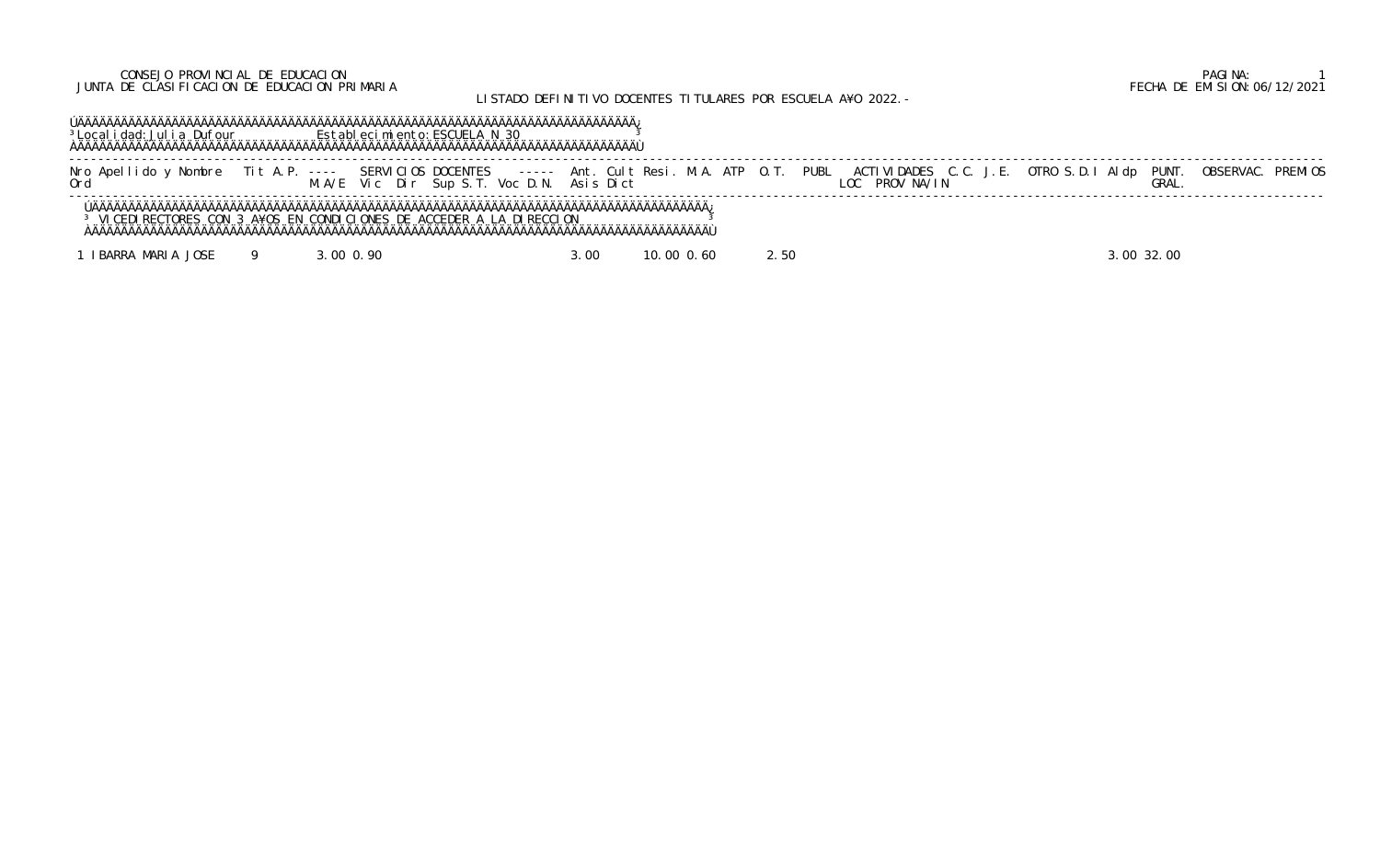## CONSEJO PROVINCIAL DE EDUCACION PAGINA: 1 JUNTA DE CLASIFICACION DE EDUCACION PRIMARIA FECHA DE EMISION:06/12/2021

# LISTADO DEFINITIVO DOCENTES TITULARES POR ESCUELA A¥O 2022.-

 ÚÄÄÄÄÄÄÄÄÄÄÄÄÄÄÄÄÄÄÄÄÄÄÄÄÄÄÄÄÄÄÄÄÄÄÄÄÄÄÄÄÄÄÄÄÄÄÄÄÄÄÄÄÄÄÄÄÄÄÄÄÄÄÄÄÄÄÄÄÄÄÄÄÄÄÄÄÄ¿ <sup>3</sup>Localidad: Julia Dufour **Establecimiento: ESCUELA N 30** 3 ÀÄÄÄÄÄÄÄÄÄÄÄÄÄÄÄÄÄÄÄÄÄÄÄÄÄÄÄÄÄÄÄÄÄÄÄÄÄÄÄÄÄÄÄÄÄÄÄÄÄÄÄÄÄÄÄÄÄÄÄÄÄÄÄÄÄÄÄÄÄÄÄÄÄÄÄÄÄÙ

 ----------------------------------------------------------------------------------------------------------------------------------------------------------------------------- Nro Apellido y Nombre Tit A.P. ---- SERVICIOS DOCENTES ----- Ant. Cult Resi. M.A. ATP O.T. PUBL ACTIVIDADES C.C. J.E. OTRO S.D.I Aldp PUNT. OBSERVAC. PREMIOS Ord M.A/E Vic Dir Sup S.T. Voc D.N. Asis Dict LOC PROV NA/IN GRAL. -----------------------------------------------------------------------------------------------------------------------------------------------------------------------------

 ÚÄÄÄÄÄÄÄÄÄÄÄÄÄÄÄÄÄÄÄÄÄÄÄÄÄÄÄÄÄÄÄÄÄÄÄÄÄÄÄÄÄÄÄÄÄÄÄÄÄÄÄÄÄÄÄÄÄÄÄÄÄÄÄÄÄÄÄÄÄÄÄÄÄÄÄÄÄÄÄÄÄÄÄÄÄ¿ <sup>3</sup> VICEDIRECTORES CON 3 A¥OS EN CONDICIONES DE ACCEDER A LA DIRECCION <sup>3</sup> ÀÄÄÄÄÄÄÄÄÄÄÄÄÄÄÄÄÄÄÄÄÄÄÄÄÄÄÄÄÄÄÄÄÄÄÄÄÄÄÄÄÄÄÄÄÄÄÄÄÄÄÄÄÄÄÄÄÄÄÄÄÄÄÄÄÄÄÄÄÄÄÄÄÄÄÄÄÄÄÄÄÄÄÄÄÄÙ

1 IBARRA MARIA JOSE 9 3.00 0.90 3.00 10.00 0.60 2.50 3.00 32.00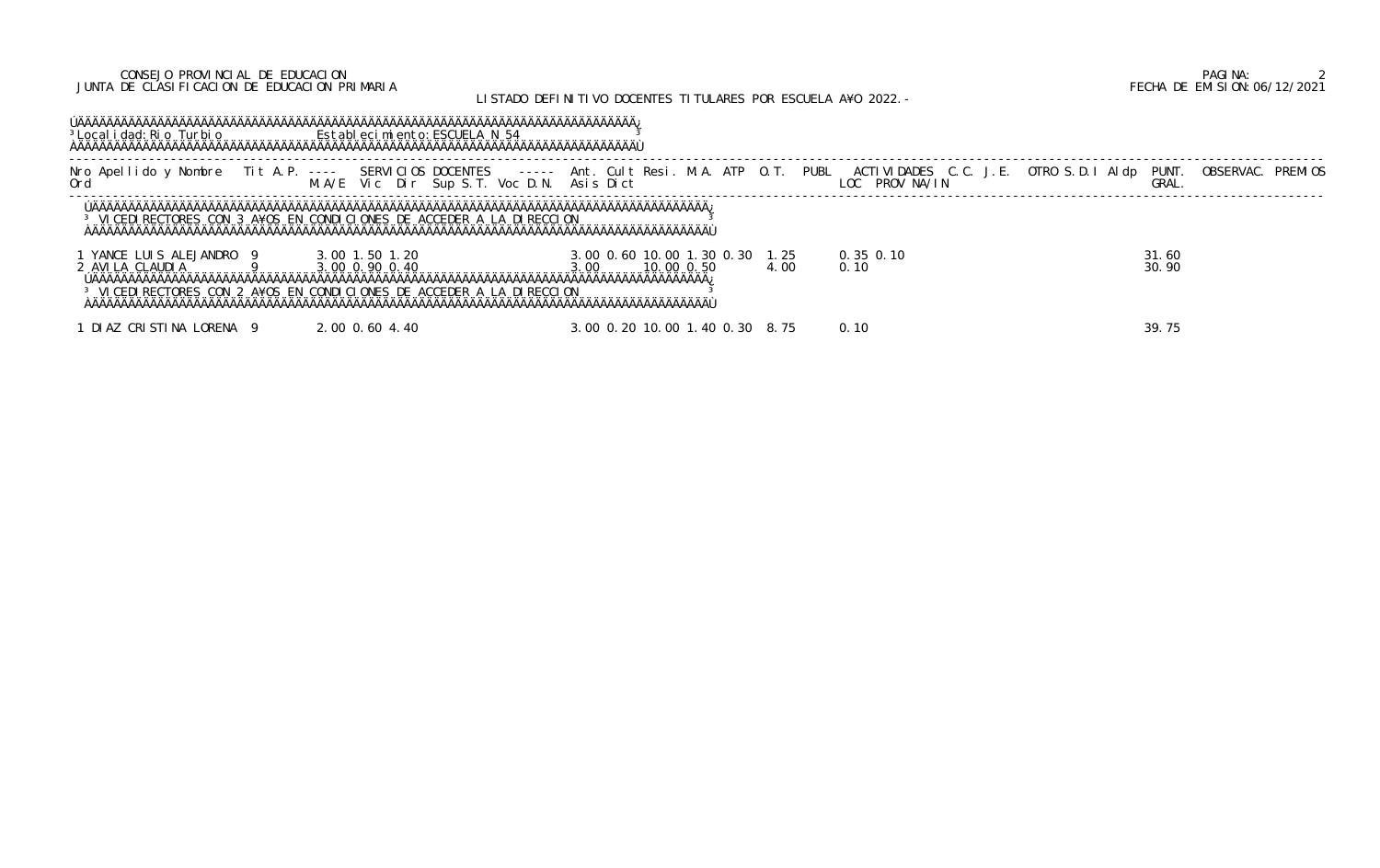### CONSEJO PROVINCIAL DE EDUCACION PAGINA: 2 JUNTA DE CLASIFICACION DE EDUCACION PRIMARIA FECHA DE EMISION:06/12/2021

## LISTADO DEFINITIVO DOCENTES TITULARES POR ESCUELA A¥O 2022. -

 ÚÄÄÄÄÄÄÄÄÄÄÄÄÄÄÄÄÄÄÄÄÄÄÄÄÄÄÄÄÄÄÄÄÄÄÄÄÄÄÄÄÄÄÄÄÄÄÄÄÄÄÄÄÄÄÄÄÄÄÄÄÄÄÄÄÄÄÄÄÄÄÄÄÄÄÄÄÄ¿ <sup>3</sup>Localidad: Rio Turbio **Establecimiento: ESCUELA N 54** 3 ÀÄÄÄÄÄÄÄÄÄÄÄÄÄÄÄÄÄÄÄÄÄÄÄÄÄÄÄÄÄÄÄÄÄÄÄÄÄÄÄÄÄÄÄÄÄÄÄÄÄÄÄÄÄÄÄÄÄÄÄÄÄÄÄÄÄÄÄÄÄÄÄÄÄÄÄÄÄÙ

 ----------------------------------------------------------------------------------------------------------------------------------------------------------------------------- Nro Apellido y Nombre Tit A.P. ---- SERVICIOS DOCENTES ----- Ant. Cult Resi. M.A. ATP O.T. PUBL ACTIVIDADES C.C. J.E. OTRO S.D.I Aldp PUNT. OBSERVAC. PREMIOS Ord M.A/E Vic Dir Sup S.T. Voc D.N. Asis Dict LOC PROV NA/IN GRAL. -----------------------------------------------------------------------------------------------------------------------------------------------------------------------------

1 YANCE LUIS ALEJANDRO 9 3.00 1.50 1.20 3.00 0.60 10.00 1.30 0.30 1<br>2 AVILA CLAUDIA 9 3.00 0.90 0.40 2 AVILA CLAUDIA 9 3.00 0.90 0.40 3.00 10.00 0.50 4.00 0.10 30.90 ÚÄÄÄÄÄÄÄÄÄÄÄÄÄÄÄÄÄÄÄÄÄÄÄÄÄÄÄÄÄÄÄÄÄÄÄÄÄÄÄÄÄÄÄÄÄÄÄÄÄÄÄÄÄÄÄÄÄÄÄÄÄÄÄÄÄÄÄÄÄÄÄÄÄÄÄÄÄÄÄÄÄÄÄÄÄ¿ <sup>3</sup> VICEDIRECTORES CON 2 A¥OS EN CONDICIONES DE ACCEDER A LA DIRECCION <sup>3</sup> ÀÄÄÄÄÄÄÄÄÄÄÄÄÄÄÄÄÄÄÄÄÄÄÄÄÄÄÄÄÄÄÄÄÄÄÄÄÄÄÄÄÄÄÄÄÄÄÄÄÄÄÄÄÄÄÄÄÄÄÄÄÄÄÄÄÄÄÄÄÄÄÄÄÄÄÄÄÄÄÄÄÄÄÄÄÄÙ

1 DIAZ CRISTINA LORENA 9 2.00 0.60 4.40 3.00 0.20 10.00 1.40 0.30 8

| Т.          | PUBL | LOC PROV NA/IN        | ACTIVIDADES C.C. J.E. OTRO S.D.I AI dp PUNT. OBSERVAC. PREMIOS<br>GRAL. |  |
|-------------|------|-----------------------|-------------------------------------------------------------------------|--|
|             |      |                       |                                                                         |  |
| . 25<br>.00 |      | $0.35$ $0.10$<br>0.10 | 31.60<br>30.90                                                          |  |
| . 75        |      | 0.10                  | 39.75                                                                   |  |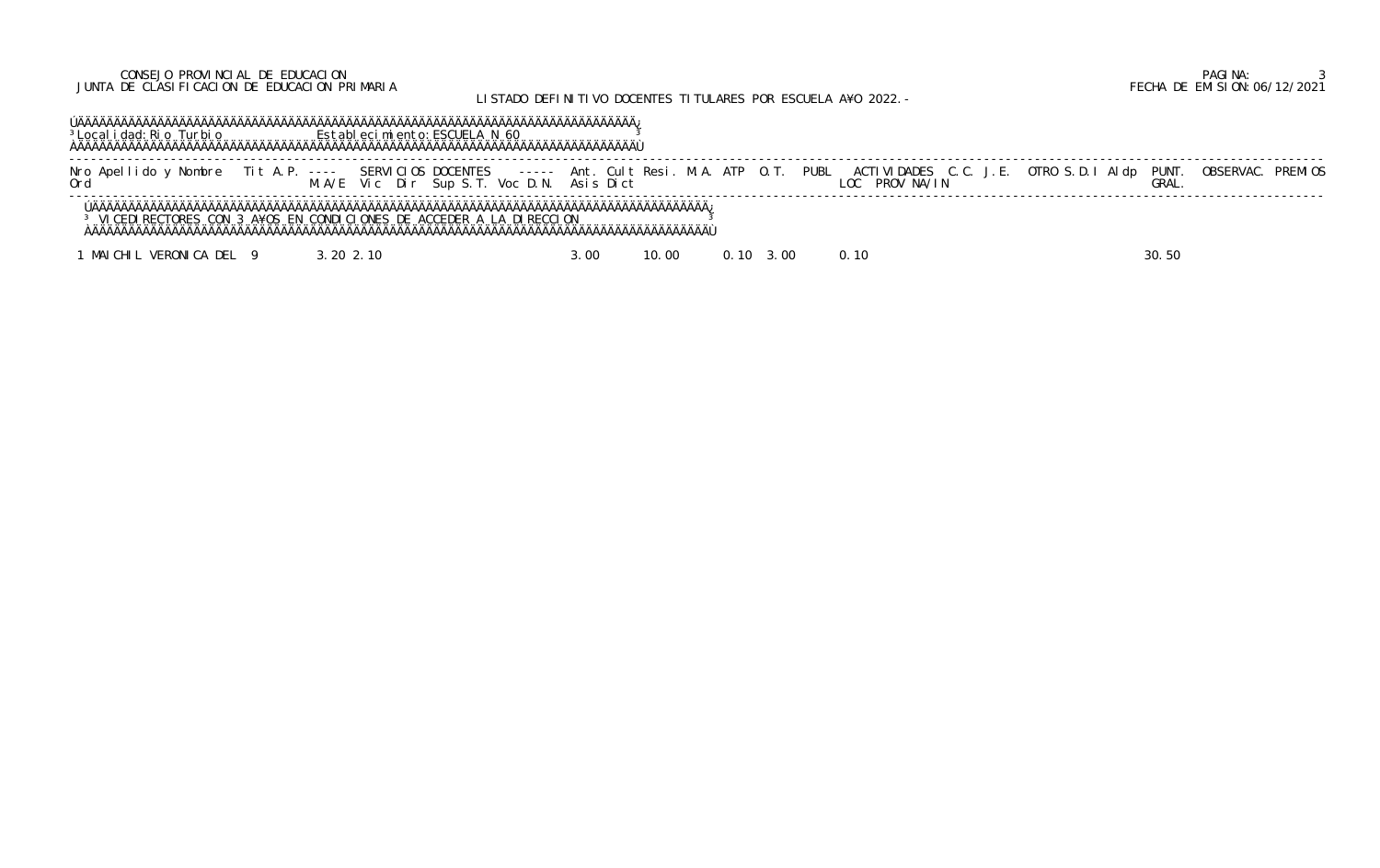## CONSEJO PROVINCIAL DE EDUCACION PAGINA: 3 JUNTA DE CLASIFICACION DE EDUCACION PRIMARIA FECHA DE EMISION:06/12/2021

# LISTADO DEFINITIVO DOCENTES TITULARES POR ESCUELA A¥O 2022.-

 ÚÄÄÄÄÄÄÄÄÄÄÄÄÄÄÄÄÄÄÄÄÄÄÄÄÄÄÄÄÄÄÄÄÄÄÄÄÄÄÄÄÄÄÄÄÄÄÄÄÄÄÄÄÄÄÄÄÄÄÄÄÄÄÄÄÄÄÄÄÄÄÄÄÄÄÄÄÄ¿ <sup>3</sup>Localidad: Rio Turbio **Establecimiento: ESCUELA N 60** 3 ÀÄÄÄÄÄÄÄÄÄÄÄÄÄÄÄÄÄÄÄÄÄÄÄÄÄÄÄÄÄÄÄÄÄÄÄÄÄÄÄÄÄÄÄÄÄÄÄÄÄÄÄÄÄÄÄÄÄÄÄÄÄÄÄÄÄÄÄÄÄÄÄÄÄÄÄÄÄÙ

 ----------------------------------------------------------------------------------------------------------------------------------------------------------------------------- Nro Apellido y Nombre Tit A.P. ---- SERVICIOS DOCENTES ----- Ant. Cult Resi. M.A. ATP O.T. PUBL ACTIVIDADES C.C. J.E. OTRO S.D.I Aldp PUNT. OBSERVAC. PREMIOS Ord M.A/E Vic Dir Sup S.T. Voc D.N. Asis Dict LOC PROV NA/IN GRAL. -----------------------------------------------------------------------------------------------------------------------------------------------------------------------------

 ÚÄÄÄÄÄÄÄÄÄÄÄÄÄÄÄÄÄÄÄÄÄÄÄÄÄÄÄÄÄÄÄÄÄÄÄÄÄÄÄÄÄÄÄÄÄÄÄÄÄÄÄÄÄÄÄÄÄÄÄÄÄÄÄÄÄÄÄÄÄÄÄÄÄÄÄÄÄÄÄÄÄÄÄÄÄ¿ <sup>3</sup> VICEDIRECTORES CON 3 A¥OS EN CONDICIONES DE ACCEDER A LA DIRECCION <sup>3</sup> ÀÄÄÄÄÄÄÄÄÄÄÄÄÄÄÄÄÄÄÄÄÄÄÄÄÄÄÄÄÄÄÄÄÄÄÄÄÄÄÄÄÄÄÄÄÄÄÄÄÄÄÄÄÄÄÄÄÄÄÄÄÄÄÄÄÄÄÄÄÄÄÄÄÄÄÄÄÄÄÄÄÄÄÄÄÄÙ

1 MAICHIL VERONICA DEL 9 3.20 2.10 3.00 10.00 0.10 3.00 0.10 30.50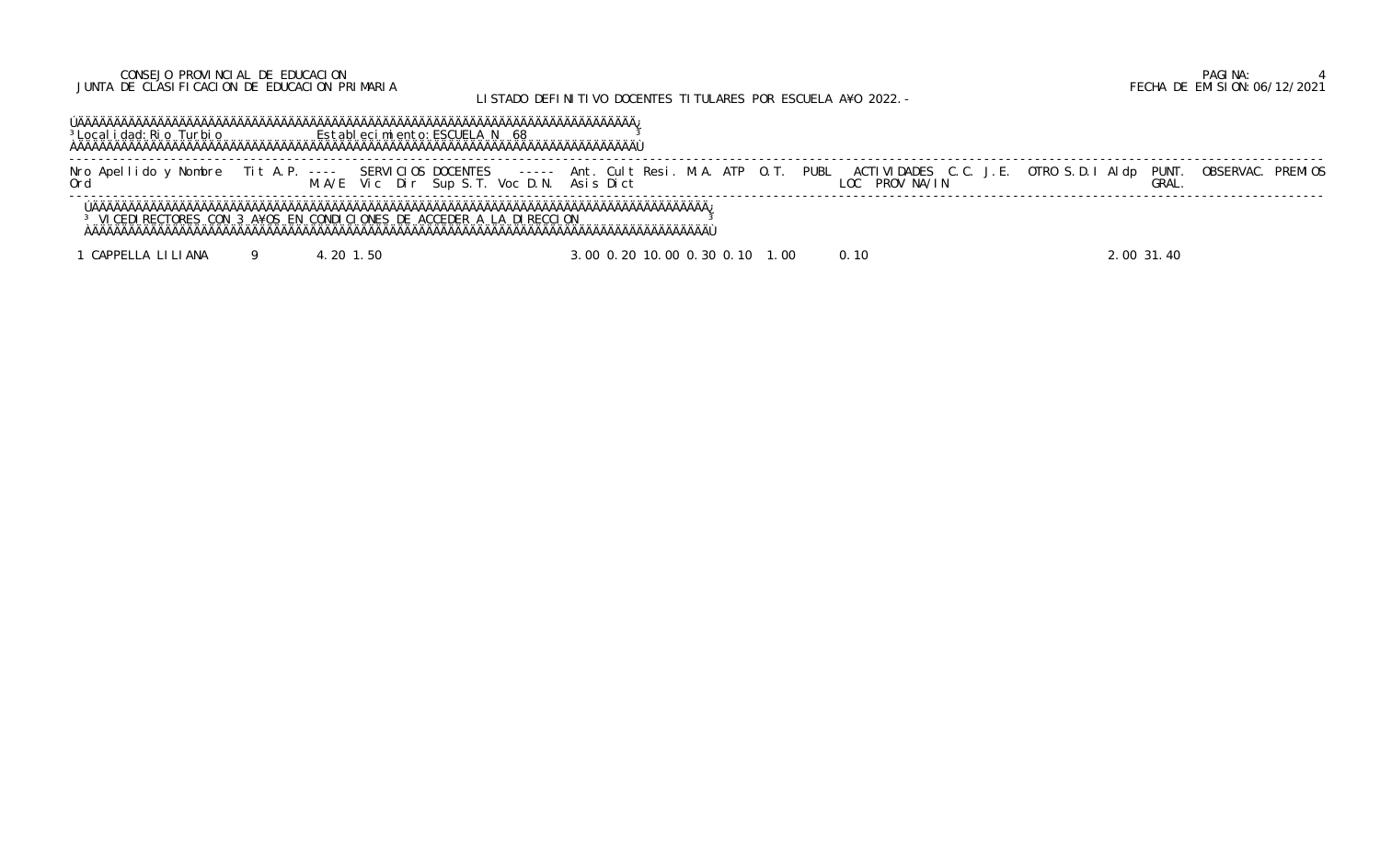## CONSEJO PROVINCIAL DE EDUCACION PAGINA: 4 JUNTA DE CLASIFICACION DE EDUCACION PRIMARIA FECHA DE EMISION:06/12/2021

# LISTADO DEFINITIVO DOCENTES TITULARES POR ESCUELA A¥O 2022.-

 ÚÄÄÄÄÄÄÄÄÄÄÄÄÄÄÄÄÄÄÄÄÄÄÄÄÄÄÄÄÄÄÄÄÄÄÄÄÄÄÄÄÄÄÄÄÄÄÄÄÄÄÄÄÄÄÄÄÄÄÄÄÄÄÄÄÄÄÄÄÄÄÄÄÄÄÄÄÄ¿ <sup>3</sup>Localidad:Rio Turbio **Establecimiento:ESCUELA N** 68 <sup>3</sup> ÀÄÄÄÄÄÄÄÄÄÄÄÄÄÄÄÄÄÄÄÄÄÄÄÄÄÄÄÄÄÄÄÄÄÄÄÄÄÄÄÄÄÄÄÄÄÄÄÄÄÄÄÄÄÄÄÄÄÄÄÄÄÄÄÄÄÄÄÄÄÄÄÄÄÄÄÄÄÙ

 ----------------------------------------------------------------------------------------------------------------------------------------------------------------------------- Nro Apellido y Nombre Tit A.P. ---- SERVICIOS DOCENTES ----- Ant. Cult Resi. M.A. ATP O.T. PUBL ACTIVIDADES C.C. J.E. OTRO S.D.I Aldp PUNT. OBSERVAC. PREMIOS Ord M.A/E Vic Dir Sup S.T. Voc D.N. Asis Dict LOC PROV NA/IN GRAL. -----------------------------------------------------------------------------------------------------------------------------------------------------------------------------

 ÚÄÄÄÄÄÄÄÄÄÄÄÄÄÄÄÄÄÄÄÄÄÄÄÄÄÄÄÄÄÄÄÄÄÄÄÄÄÄÄÄÄÄÄÄÄÄÄÄÄÄÄÄÄÄÄÄÄÄÄÄÄÄÄÄÄÄÄÄÄÄÄÄÄÄÄÄÄÄÄÄÄÄÄÄÄ¿ <sup>3</sup> VICEDIRECTORES CON 3 A¥OS EN CONDICIONES DE ACCEDER A LA DIRECCION <sup>3</sup> ÀÄÄÄÄÄÄÄÄÄÄÄÄÄÄÄÄÄÄÄÄÄÄÄÄÄÄÄÄÄÄÄÄÄÄÄÄÄÄÄÄÄÄÄÄÄÄÄÄÄÄÄÄÄÄÄÄÄÄÄÄÄÄÄÄÄÄÄÄÄÄÄÄÄÄÄÄÄÄÄÄÄÄÄÄÄÙ

1 CAPPELLA LILIANA 9 4.20 1.50 3.00 0.20 10.00 0.30 0.10 1.00 0.10 2.00 31.40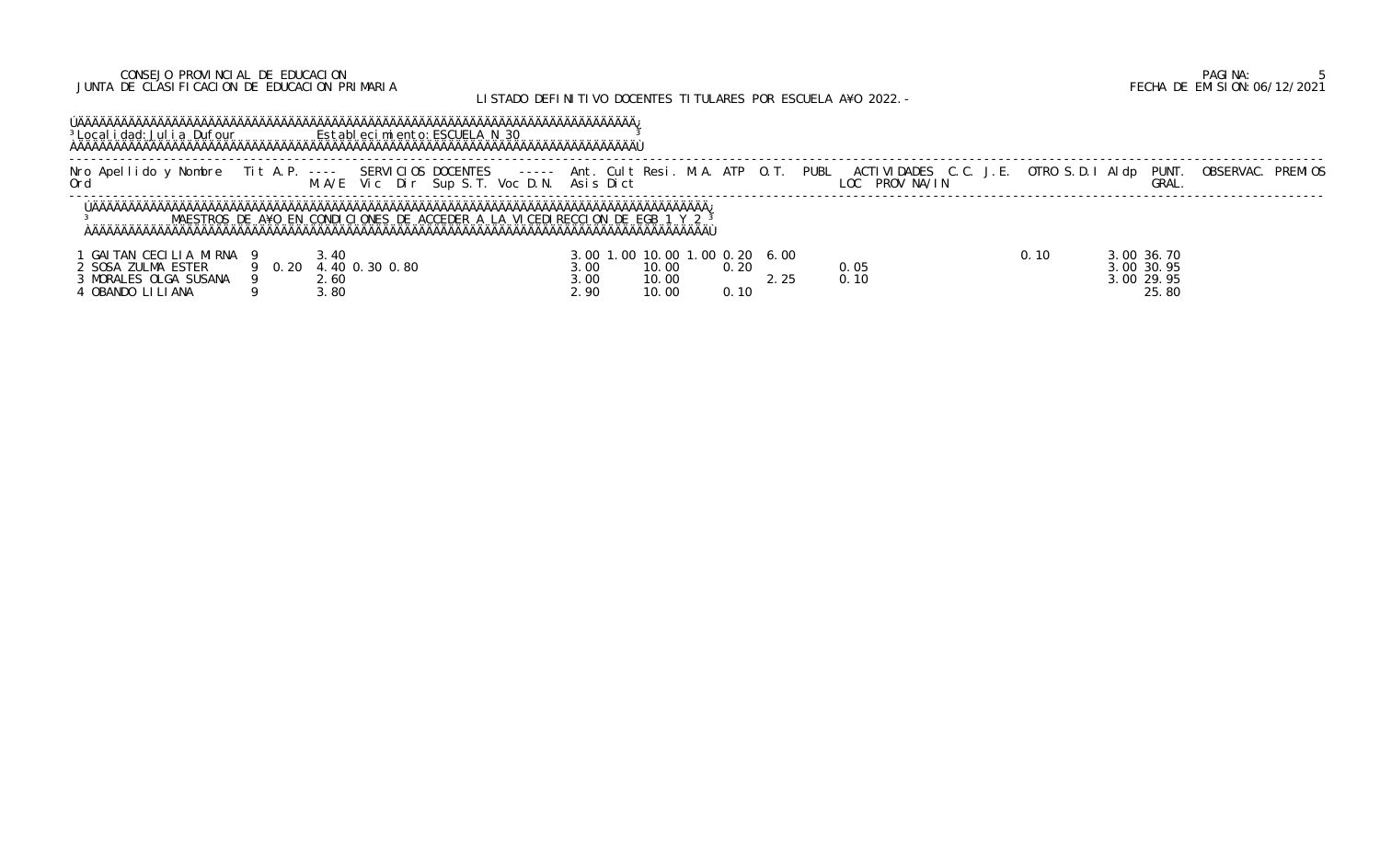### CONSEJO PROVINCIAL DE EDUCACION PAGINA: 5 JUNTA DE CLASIFICACION DE EDUCACION PRIMARIA FECHA DE EMISION:06/12/2021

# LISTADO DEFINITIVO DOCENTES TITULARES POR ESCUELA A¥O 2022.-

## ÚÄÄÄÄÄÄÄÄÄÄÄÄÄÄÄÄÄÄÄÄÄÄÄÄÄÄÄÄÄÄÄÄÄÄÄÄÄÄÄÄÄÄÄÄÄÄÄÄÄÄÄÄÄÄÄÄÄÄÄÄÄÄÄÄÄÄÄÄÄÄÄÄÄÄÄÄÄ¿ <sup>3</sup>Localidad: Julia Dufour **Establecimiento: ESCUELA N 30** 3 ÀÄÄÄÄÄÄÄÄÄÄÄÄÄÄÄÄÄÄÄÄÄÄÄÄÄÄÄÄÄÄÄÄÄÄÄÄÄÄÄÄÄÄÄÄÄÄÄÄÄÄÄÄÄÄÄÄÄÄÄÄÄÄÄÄÄÄÄÄÄÄÄÄÄÄÄÄÄÙ

 ----------------------------------------------------------------------------------------------------------------------------------------------------------------------------- Nro Apellido y Nombre Tit A.P. ---- SERVICIOS DOCENTES ----- Ant. Cult Resi. M.A. ATP O.T. PUBL ACTIVIDADES C.C. J.E. OTRO S.D.I Aldp PUNT. OBSERVAC. PREMIOS Ord M.A/E Vic Dir Sup S.T. Voc D.N. Asis Dict LOC PROV NA/IN GRAL. -----------------------------------------------------------------------------------------------------------------------------------------------------------------------------

| GAITAN CECILIA MIRNA |        | .40            |      | 3.00 1.00 10.00 1.00 0.20 6.00 |      |      | . 10 | 3.00 36.70 |
|----------------------|--------|----------------|------|--------------------------------|------|------|------|------------|
| 2 SOSA ZULMA ESTER   | 9 0.20 | 4.40 0.30 0.80 | 3.00 | 10.00                          | 0.20 | 0.05 |      | 3.00 30.95 |
| MORALES OLGA SUSANA  |        | 2.60           | 3.00 | 10.00                          |      | 0.10 |      | 3.00 29.95 |
| OBANDO LI LI ANA     |        | .80            | 2.90 | 10.00                          | 0.10 |      |      | 25.80      |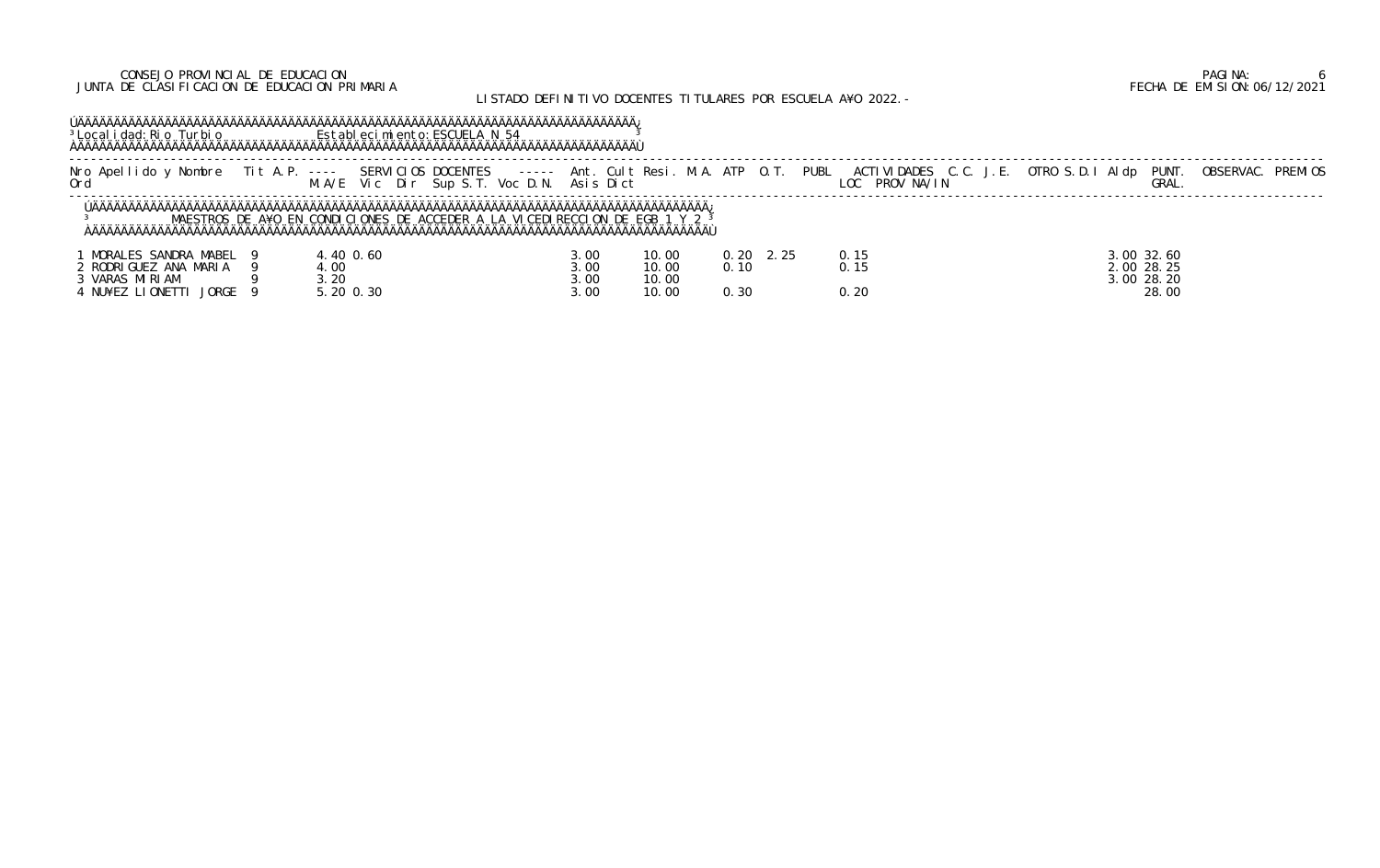### CONSEJO PROVINCIAL DE EDUCACION PAGINA: 6 JUNTA DE CLASIFICACION DE EDUCACION PRIMARIA FECHA DE EMISION:06/12/2021

# LISTADO DEFINITIVO DOCENTES TITULARES POR ESCUELA A¥O 2022.-

 ----------------------------------------------------------------------------------------------------------------------------------------------------------------------------- Nro Apellido y Nombre Tit A.P. ---- SERVICIOS DOCENTES ----- Ant. Cult Resi. M.A. ATP O.T. PUBL ACTIVIDADES C.C. J.E. OTRO S.D.I Aldp PUNT. OBSERVAC. PREMIOS Ord M.A/E Vic Dir Sup S.T. Voc D.N. Asis Dict LOC PROV NA/IN GRAL.

## ÚÄÄÄÄÄÄÄÄÄÄÄÄÄÄÄÄÄÄÄÄÄÄÄÄÄÄÄÄÄÄÄÄÄÄÄÄÄÄÄÄÄÄÄÄÄÄÄÄÄÄÄÄÄÄÄÄÄÄÄÄÄÄÄÄÄÄÄÄÄÄÄÄÄÄÄÄÄ¿ <sup>3</sup>Localidad: Rio Turbio **Establecimiento: ESCUELA N 54** 3 ÀÄÄÄÄÄÄÄÄÄÄÄÄÄÄÄÄÄÄÄÄÄÄÄÄÄÄÄÄÄÄÄÄÄÄÄÄÄÄÄÄÄÄÄÄÄÄÄÄÄÄÄÄÄÄÄÄÄÄÄÄÄÄÄÄÄÄÄÄÄÄÄÄÄÄÄÄÄÙ

| Nombre<br>Anel<br>. do<br>$\bigcap_{r}$ | SERVICIOS DOCENTES<br>------<br>$\frac{1}{2} \frac{1}{2} \frac{1}{2} \frac{1}{2} \frac{1}{2} \frac{1}{2} \frac{1}{2} \frac{1}{2} \frac{1}{2} \frac{1}{2} \frac{1}{2} \frac{1}{2} \frac{1}{2} \frac{1}{2} \frac{1}{2} \frac{1}{2} \frac{1}{2} \frac{1}{2} \frac{1}{2} \frac{1}{2} \frac{1}{2} \frac{1}{2} \frac{1}{2} \frac{1}{2} \frac{1}{2} \frac{1}{2} \frac{1}{2} \frac{1}{2} \frac{1}{2} \frac{1}{2} \frac{1}{2} \frac{$<br>Voc<br>Dir<br>Sun Si | M.A<br>ΔTΡ<br>lt Resi<br>. Ant<br>- ('111<br>Asis Dict | <b>PUBL</b><br>ACTIVIDADES C.C.<br>PROV NA/IN<br>. ೧೧ | <b>OBSERVA</b><br><b>PUNT</b><br><b>PREMIOS</b><br>Al dp<br>OTRO S.D.<br><b>GRAL</b> |  |  |  |  |  |
|-----------------------------------------|------------------------------------------------------------------------------------------------------------------------------------------------------------------------------------------------------------------------------------------------------------------------------------------------------------------------------------------------------------------------------------------------------------------------------------------------------|--------------------------------------------------------|-------------------------------------------------------|--------------------------------------------------------------------------------------|--|--|--|--|--|
|                                         |                                                                                                                                                                                                                                                                                                                                                                                                                                                      |                                                        |                                                       |                                                                                      |  |  |  |  |  |

| MORALES SANDRA MABEL              | 40 0.60 | 3.00 | 10.00 | 0.20 |                     | 3.00 32.60 |
|-----------------------------------|---------|------|-------|------|---------------------|------------|
| ' RODRIGUEZ ANA MARIA             | .00     | 3.00 | 10.00 | 0.10 | $\bigcap$ $\bigcap$ | 2.00 28.25 |
| VARAS MIRIAM                      | .20     | 3.00 | 10.00 |      |                     | 3.00 28.20 |
| <b>JORGE</b><br>NU¥EZ<br>LI ONETT | 20 0.30 | 3.00 | 10.00 | 0.30 | 0.20                | 28.00      |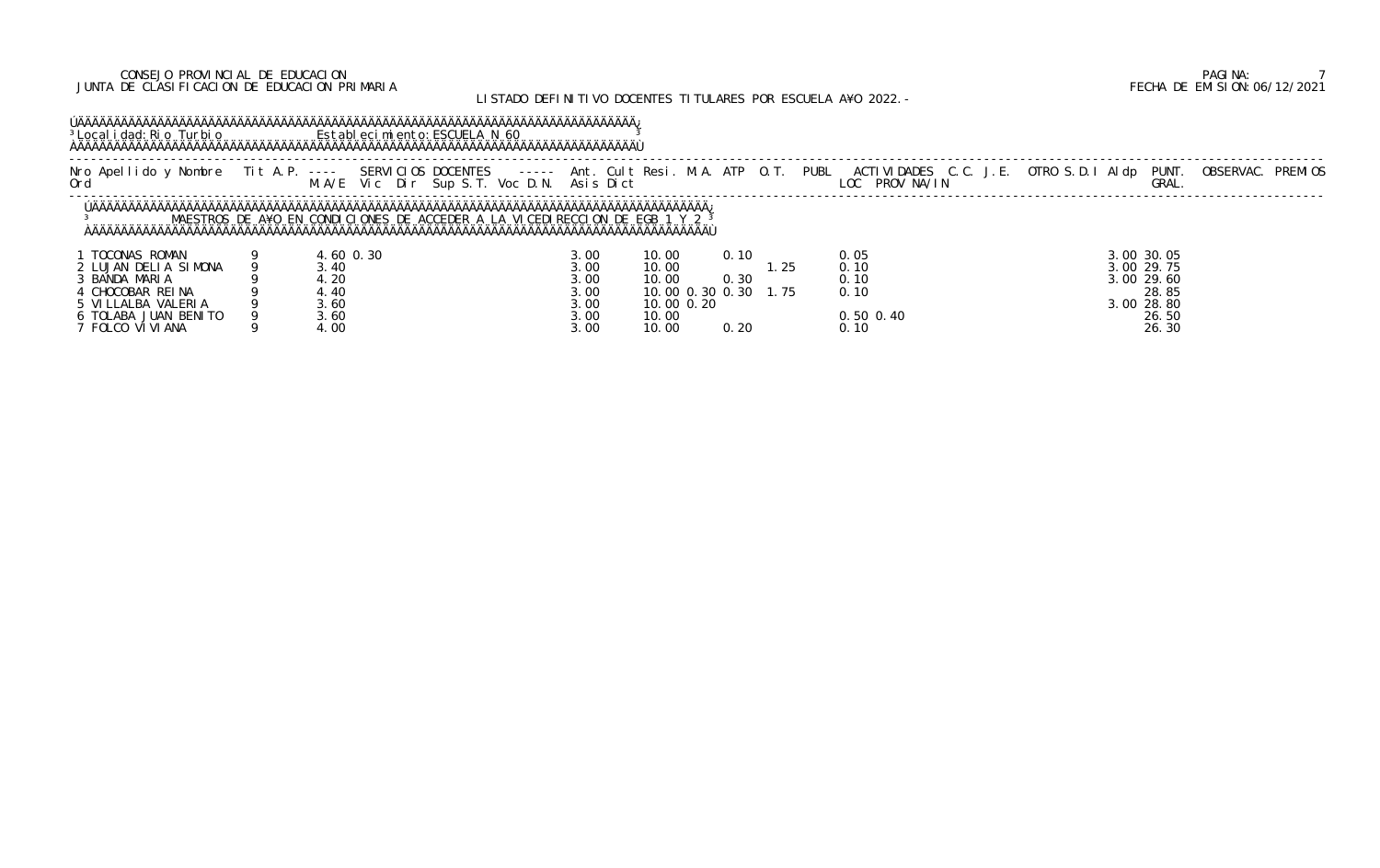### CONSEJO PROVINCIAL DE EDUCACION PAGINA: 7 JUNTA DE CLASIFICACION DE EDUCACION PRIMARIA FECHA DE EMISION:06/12/2021

# LISTADO DEFINITIVO DOCENTES TITULARES POR ESCUELA A¥O 2022.-

## ÚÄÄÄÄÄÄÄÄÄÄÄÄÄÄÄÄÄÄÄÄÄÄÄÄÄÄÄÄÄÄÄÄÄÄÄÄÄÄÄÄÄÄÄÄÄÄÄÄÄÄÄÄÄÄÄÄÄÄÄÄÄÄÄÄÄÄÄÄÄÄÄÄÄÄÄÄÄ¿ <sup>3</sup>Localidad: Rio Turbio **Establecimiento: ESCUELA N 60** 3 ÀÄÄÄÄÄÄÄÄÄÄÄÄÄÄÄÄÄÄÄÄÄÄÄÄÄÄÄÄÄÄÄÄÄÄÄÄÄÄÄÄÄÄÄÄÄÄÄÄÄÄÄÄÄÄÄÄÄÄÄÄÄÄÄÄÄÄÄÄÄÄÄÄÄÄÄÄÄÙ

 ----------------------------------------------------------------------------------------------------------------------------------------------------------------------------- Nro Apellido y Nombre Tit A.P. ---- SERVICIOS DOCENTES ----- Ant. Cult Resi. M.A. ATP O.T. PUBL ACTIVIDADES C.C. J.E. OTRO S.D.I Aldp PUNT. OBSERVAC. PREMIOS Ord M.A/E Vic Dir Sup S.T. Voc D.N. Asis Dict LOC PROV NA/IN GRAL. -----------------------------------------------------------------------------------------------------------------------------------------------------------------------------

| TOCONAS ROMAN        | $.60$ 0.30 | 3.00 | 10.00<br>0.10         | 0. 05         | 3.00 30.05 |
|----------------------|------------|------|-----------------------|---------------|------------|
| 2 LUJAN DELIA SIMONA | 3.40       | 3.00 | 10.00                 | -25<br>0. 10  | 3.00 29.75 |
| BANDA MARIA          | 4.20       | 3.00 | 10.00<br>0.30         | 0. 10         | 3.00 29.60 |
| CHOCOBAR REINA       | 4.40       | 3.00 | 10.00 0.30 0.<br>. 30 | - 75<br>0. 10 | 28.85      |
| 5 VI LLALBA VALERIA  | კ. 60      | 3.00 | 10.00 0.20            |               | 3.00 28.80 |
| TOLABA JUAN BENITO   | . 60 د     | 3.00 | 10.00                 | $0.50$ $0.40$ | 26.50      |
| FOLCO VI VI ANA      | 4.00       | 3.00 | 10.00<br>0.20         | 0. 10         | 26.30      |

|      |                           | LOC PROV NA/IN |  |  | GRAL.                                  | PUBL ACTIVIDADES C.C. J.E. OTRO S.D.I AI dp PUNT. OBSERVAC. PREMIOS |  |
|------|---------------------------|----------------|--|--|----------------------------------------|---------------------------------------------------------------------|--|
|      |                           |                |  |  |                                        |                                                                     |  |
| . 25 | 0.05<br>0.10<br>$\sim$ 10 |                |  |  | 3.00 30.05<br>3.00 29.75<br>2.00.20.10 |                                                                     |  |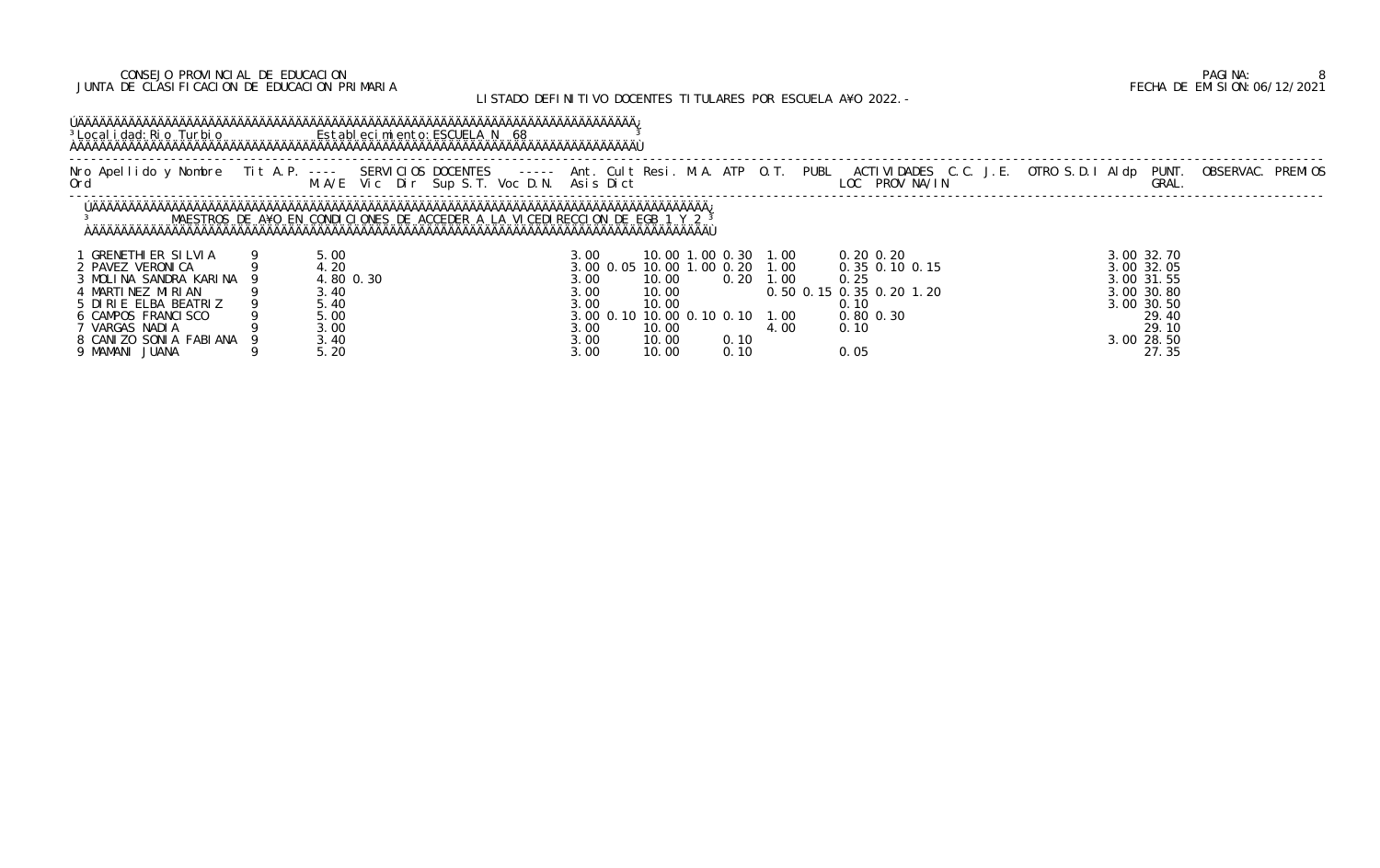### CONSEJO PROVINCIAL DE EDUCACION PAGINA: 8 JUNTA DE CLASIFICACION DE EDUCACION PRIMARIA FECHA DE EMISION:06/12/2021

## LISTADO DEFINITIVO DOCENTES TITULARES POR ESCUELA A¥O 2022.-

 ----------------------------------------------------------------------------------------------------------------------------------------------------------------------------- Nro Apellido y Nombre Tit A.P. ---- SERVICIOS DOCENTES ----- Ant. Cult Resi. M.A. ATP O.T. PUBL ACTIVIDADES C.C. J.E. OTRO S.D.I Aldp PUNT. OBSERVAC. PREMIOS Ord M.A/E Vic Dir Sup S.T. Voc D.N. Asis Dict LOC PROV NA/IN GRAL.

## ÚÄÄÄÄÄÄÄÄÄÄÄÄÄÄÄÄÄÄÄÄÄÄÄÄÄÄÄÄÄÄÄÄÄÄÄÄÄÄÄÄÄÄÄÄÄÄÄÄÄÄÄÄÄÄÄÄÄÄÄÄÄÄÄÄÄÄÄÄÄÄÄÄÄÄÄÄÄ¿ <sup>3</sup>Localidad:Rio Turbio **Establecimiento:ESCUELA N** 68 <sup>3</sup> ÀÄÄÄÄÄÄÄÄÄÄÄÄÄÄÄÄÄÄÄÄÄÄÄÄÄÄÄÄÄÄÄÄÄÄÄÄÄÄÄÄÄÄÄÄÄÄÄÄÄÄÄÄÄÄÄÄÄÄÄÄÄÄÄÄÄÄÄÄÄÄÄÄÄÄÄÄÄÙ

|                          |           | M.A/E Vic Dir Sup S.T. Voc D.N. Asis Dict                                              |                                |       |                      |      |      | LOC PROV NA/IN           | Nro Apellido y Nombre Tit A.P. ---- SERVICIOS DOCENTES ----- Ant. Cult Resi. M.A. ATP O.T. PUBL ACTIVIDADES C.C. J.E. OTRO S.D.I Aldp PUNT. OBSERVAC. PREMIOS<br>GRAL. |  |
|--------------------------|-----------|----------------------------------------------------------------------------------------|--------------------------------|-------|----------------------|------|------|--------------------------|------------------------------------------------------------------------------------------------------------------------------------------------------------------------|--|
|                          |           | MAESTROS DE A¥O EN CONDICIONES DE ACCEDER A LA VICEDIRECCION DE EGB 1 Y 2 <sup>3</sup> |                                |       |                      |      |      |                          |                                                                                                                                                                        |  |
| <b>GRENETHIER SILVIA</b> | 5.00      |                                                                                        | 3. OO                          |       | 10.00 1.00 0.30 1.00 |      |      | $0.20 \, 0.20$           | 3.00 32.70                                                                                                                                                             |  |
| 2 PAVEZ VERONICA         | . 20      |                                                                                        | 3.00 0.05 10.00 1.00 0.20 1.00 |       |                      |      |      | 0.35 0.10 0.15           | 3.00 32.05                                                                                                                                                             |  |
| 3 MOLINA SANDRA KARINA 9 | 4.80 0.30 |                                                                                        | 3. OO                          | 10.00 | 0.20                 | 1.00 | 0.25 |                          | $3.00$ $31.55$                                                                                                                                                         |  |
| 4 MARTINEZ MIRIAN        | 3.40      |                                                                                        | 3.00                           | 10.00 |                      |      |      | 0.50 0.15 0.35 0.20 1.20 | 3.00 30.80                                                                                                                                                             |  |
| 5 DIRIE ELBA BEATRIZ     | 5.40      |                                                                                        |                                | 10.00 |                      |      |      |                          | 3,00 30,50                                                                                                                                                             |  |

| <b>GRENETHIER SILVIA</b> | 5.00      | 3.00               | 10.00 1.00 0.30           |               | 1.00  | $0.20 \, 0.20$           | 3.00 32.70 |
|--------------------------|-----------|--------------------|---------------------------|---------------|-------|--------------------------|------------|
| 2 PAVEZ VERONI CA        | 4. 20     | 3.00 0.05 10.00 1. |                           | $.00 \, 0.20$ | 1.00  | $0.35$ $0.10$ $0.15$     | 3.00 32.05 |
| 3 MOLINA SANDRA KARINA   | 4.80 0.30 | 3.00               | 10.00                     | 0.20          | 1.00  | 0.25                     | 3.00 31.55 |
| 4 MARTINEZ MIRIAN        | 3.40      | 3.00               | 10.00                     |               |       | 0.50 0.15 0.35 0.20 1.20 | 3.00 30.80 |
| 5 DIRIE ELBA BEATRIZ     | 5.40      | 3.00               | 10.00                     |               |       |                          | 3.00 30.50 |
| 6 CAMPOS FRANCISCO       | 5.00      |                    | 3.00 0.10 10.00 0.10 0.10 |               | 1.00  | $0.80$ $0.30$            | 29.40      |
| VARGAS NADIA             | 3.00      | 3.00               | 10.00                     |               | 4. 00 | 0.10                     | 29.10      |
| 8 CANIZO SONIA FABIANA   | 3.40      | 3.00               | 10.00                     | 0.10          |       |                          | 3.00 28.50 |
| 9 MAMANI JUANA           | 5. 20     | 3.00               | 10.00                     | 0.10          |       | 0.05                     | 27.35      |